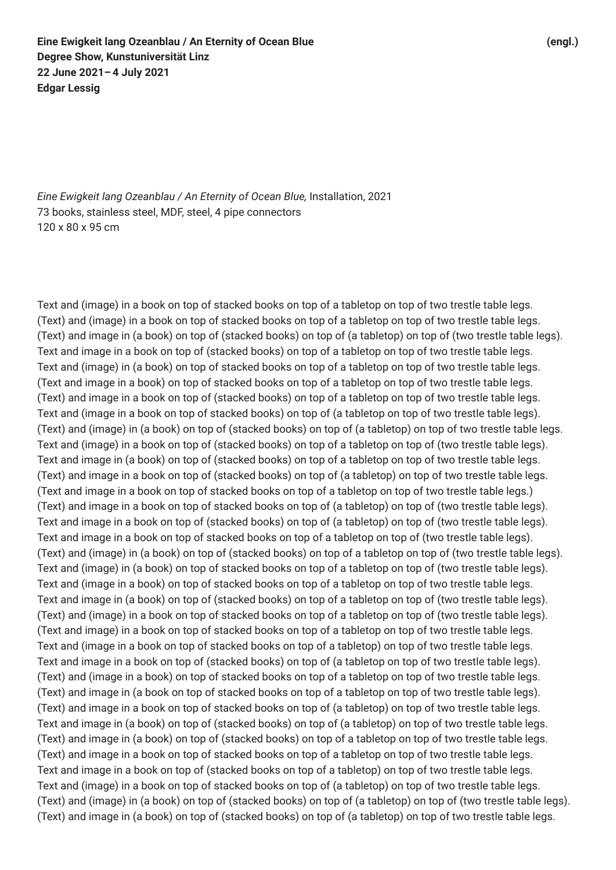*Eine Ewigkeit lang Ozeanblau / An Eternity of Ocean Blue,* Installation, 2021 73 books, stainless steel, MDF, steel, 4 pipe connectors 120 x 80 x 95 cm

Text and (image) in a book on top of stacked books on top of a tabletop on top of two trestle table legs. (Text) and (image) in a book on top of stacked books on top of a tabletop on top of two trestle table legs. (Text) and image in (a book) on top of (stacked books) on top of (a tabletop) on top of (two trestle table legs). Text and image in a book on top of (stacked books) on top of a tabletop on top of two trestle table legs. Text and (image) in (a book) on top of stacked books on top of a tabletop on top of two trestle table legs. (Text and image in a book) on top of stacked books on top of a tabletop on top of two trestle table legs. (Text) and image in a book on top of (stacked books) on top of a tabletop on top of two trestle table legs. Text and (image in a book on top of stacked books) on top of (a tabletop on top of two trestle table legs). (Text) and (image) in (a book) on top of (stacked books) on top of (a tabletop) on top of two trestle table legs. Text and (image) in a book on top of (stacked books) on top of a tabletop on top of (two trestle table legs). Text and image in (a book) on top of (stacked books) on top of a tabletop on top of two trestle table legs. (Text) and image in a book on top of (stacked books) on top of (a tabletop) on top of two trestle table legs. (Text and image in a book on top of stacked books on top of a tabletop on top of two trestle table legs.) (Text) and image in a book on top of stacked books on top of (a tabletop) on top of (two trestle table legs). Text and image in a book on top of (stacked books) on top of (a tabletop) on top of (two trestle table legs). Text and image in a book on top of stacked books on top of a tabletop on top of (two trestle table legs). (Text) and (image) in (a book) on top of (stacked books) on top of a tabletop on top of (two trestle table legs). Text and (image) in (a book) on top of stacked books on top of a tabletop on top of (two trestle table legs). Text and (image in a book) on top of stacked books on top of a tabletop on top of two trestle table legs. Text and image in (a book) on top of (stacked books) on top of a tabletop on top of (two trestle table legs). (Text) and (image) in a book on top of stacked books on top of a tabletop on top of (two trestle table legs). (Text and image) in a book on top of stacked books on top of a tabletop on top of two trestle table legs. Text and (image in a book on top of stacked books on top of a tabletop) on top of two trestle table legs. Text and image in a book on top of (stacked books) on top of (a tabletop on top of two trestle table legs). (Text) and (image in a book) on top of stacked books on top of a tabletop on top of two trestle table legs. (Text) and image in (a book on top of stacked books on top of a tabletop on top of two trestle table legs). (Text) and image in a book on top of stacked books on top of (a tabletop) on top of two trestle table legs. Text and image in (a book) on top of (stacked books) on top of (a tabletop) on top of two trestle table legs. (Text) and image in (a book) on top of (stacked books) on top of a tabletop on top of two trestle table legs. (Text) and image in a book on top of stacked books on top of a tabletop on top of two trestle table legs. Text and image in a book on top of (stacked books on top of a tabletop) on top of two trestle table legs. Text and (image) in a book on top of stacked books on top of (a tabletop) on top of two trestle table legs. (Text) and (image) in (a book) on top of (stacked books) on top of (a tabletop) on top of (two trestle table legs). (Text) and image in (a book) on top of (stacked books) on top of (a tabletop) on top of two trestle table legs.